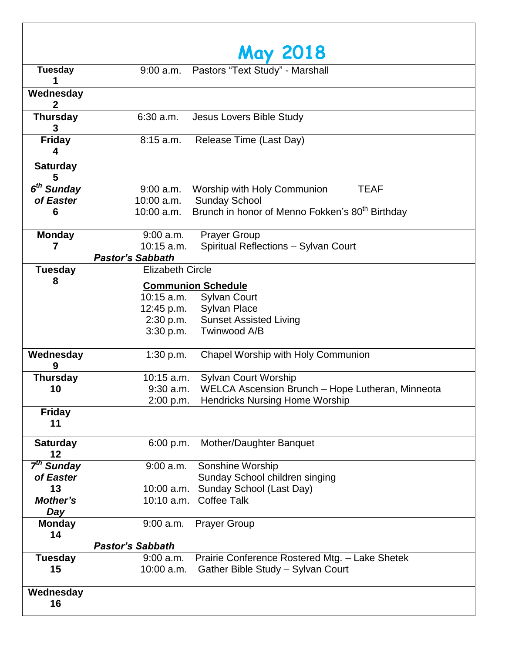|                        | <b>May 2018</b>                                                                                                  |
|------------------------|------------------------------------------------------------------------------------------------------------------|
| <b>Tuesday</b>         | 9:00 a.m. Pastors "Text Study" - Marshall                                                                        |
|                        |                                                                                                                  |
| Wednesday<br>2         |                                                                                                                  |
| <b>Thursday</b><br>3   | $6:30$ a.m.<br>Jesus Lovers Bible Study                                                                          |
| <b>Friday</b><br>4     | $8:15$ a.m.<br>Release Time (Last Day)                                                                           |
| <b>Saturday</b><br>5   |                                                                                                                  |
| 6 <sup>th</sup> Sunday | 9:00 a.m.<br>Worship with Holy Communion<br><b>TEAF</b>                                                          |
| of Easter              | <b>Sunday School</b><br>10:00 a.m.                                                                               |
| 6                      | Brunch in honor of Menno Fokken's 80 <sup>th</sup> Birthday<br>10:00 a.m.                                        |
| <b>Monday</b>          | $9:00$ a.m.<br><b>Prayer Group</b>                                                                               |
| 7                      | $10:15$ a.m.<br>Spiritual Reflections - Sylvan Court                                                             |
|                        | <b>Pastor's Sabbath</b>                                                                                          |
| <b>Tuesday</b>         | <b>Elizabeth Circle</b>                                                                                          |
| 8                      | <b>Communion Schedule</b>                                                                                        |
|                        | <b>Sylvan Court</b><br>10:15 a.m.                                                                                |
|                        | <b>Sylvan Place</b><br>12:45 p.m.                                                                                |
|                        | 2:30 p.m.<br><b>Sunset Assisted Living</b>                                                                       |
|                        | 3:30 p.m.<br>Twinwood A/B                                                                                        |
| Wednesday<br>9         | Chapel Worship with Holy Communion<br>1:30 p.m.                                                                  |
| <b>Thursday</b>        | Sylvan Court Worship<br>10:15 a.m.                                                                               |
| 10                     | $9:30$ a.m.<br>WELCA Ascension Brunch - Hope Lutheran, Minneota                                                  |
|                        | 2:00 p.m.<br><b>Hendricks Nursing Home Worship</b>                                                               |
| <b>Friday</b><br>11    |                                                                                                                  |
| <b>Saturday</b><br>12  | 6:00 p.m.<br>Mother/Daughter Banquet                                                                             |
| 7 <sup>th</sup> Sunday | Sonshine Worship<br>$9:00$ a.m.                                                                                  |
| of Easter              | Sunday School children singing                                                                                   |
| 13                     | Sunday School (Last Day)<br>10:00 a.m.                                                                           |
| Mother's<br>Day        | 10:10 a.m. Coffee Talk                                                                                           |
| <b>Monday</b><br>14    | $9:00$ a.m.<br><b>Prayer Group</b>                                                                               |
|                        | <b>Pastor's Sabbath</b>                                                                                          |
| <b>Tuesday</b><br>15   | Prairie Conference Rostered Mtg. - Lake Shetek<br>$9:00$ a.m.<br>Gather Bible Study - Sylvan Court<br>10:00 a.m. |
| Wednesday<br>16        |                                                                                                                  |

T